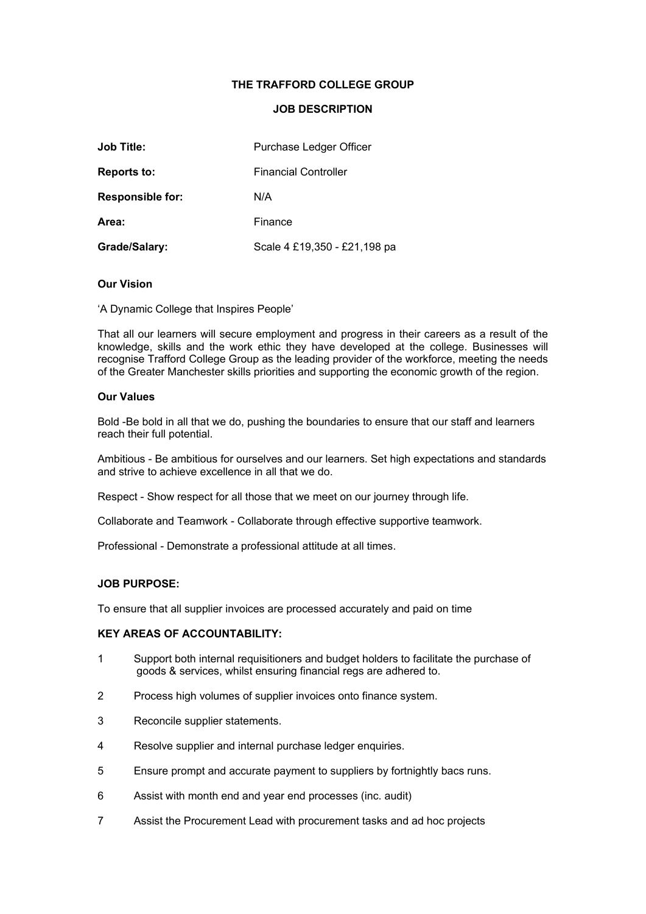# **THE TRAFFORD COLLEGE GROUP**

#### **JOB DESCRIPTION**

| <b>Job Title:</b>       | Purchase Ledger Officer      |  |
|-------------------------|------------------------------|--|
| <b>Reports to:</b>      | <b>Financial Controller</b>  |  |
| <b>Responsible for:</b> | N/A                          |  |
| Area:                   | Finance                      |  |
| Grade/Salary:           | Scale 4 £19,350 - £21,198 pa |  |

### **Our Vision**

'A Dynamic College that Inspires People'

That all our learners will secure employment and progress in their careers as a result of the knowledge, skills and the work ethic they have developed at the college. Businesses will recognise Trafford College Group as the leading provider of the workforce, meeting the needs of the Greater Manchester skills priorities and supporting the economic growth of the region.

#### **Our Values**

Bold -Be bold in all that we do, pushing the boundaries to ensure that our staff and learners reach their full potential.

Ambitious - Be ambitious for ourselves and our learners. Set high expectations and standards and strive to achieve excellence in all that we do.

Respect - Show respect for all those that we meet on our journey through life.

Collaborate and Teamwork - Collaborate through effective supportive teamwork.

Professional - Demonstrate a professional attitude at all times.

## **JOB PURPOSE:**

To ensure that all supplier invoices are processed accurately and paid on time

# **KEY AREAS OF ACCOUNTABILITY:**

- 1 Support both internal requisitioners and budget holders to facilitate the purchase of goods & services, whilst ensuring financial regs are adhered to.
- 2 Process high volumes of supplier invoices onto finance system.
- 3 Reconcile supplier statements.
- 4 Resolve supplier and internal purchase ledger enquiries.
- 5 Ensure prompt and accurate payment to suppliers by fortnightly bacs runs.
- 6 Assist with month end and year end processes (inc. audit)
- 7 Assist the Procurement Lead with procurement tasks and ad hoc projects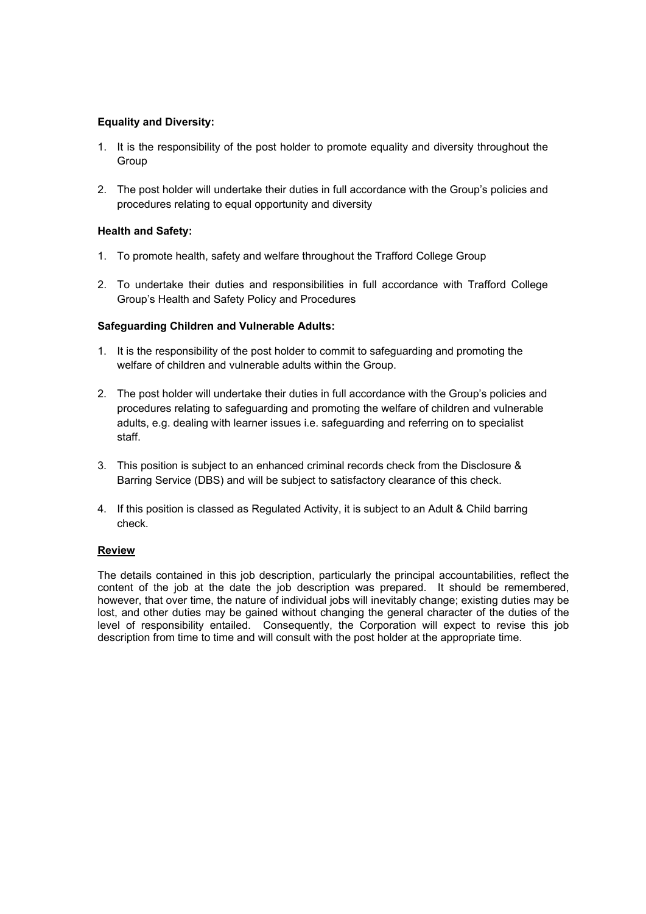# **Equality and Diversity:**

- 1. It is the responsibility of the post holder to promote equality and diversity throughout the Group
- 2. The post holder will undertake their duties in full accordance with the Group's policies and procedures relating to equal opportunity and diversity

# **Health and Safety:**

- 1. To promote health, safety and welfare throughout the Trafford College Group
- 2. To undertake their duties and responsibilities in full accordance with Trafford College Group's Health and Safety Policy and Procedures

# **Safeguarding Children and Vulnerable Adults:**

- 1. It is the responsibility of the post holder to commit to safeguarding and promoting the welfare of children and vulnerable adults within the Group.
- 2. The post holder will undertake their duties in full accordance with the Group's policies and procedures relating to safeguarding and promoting the welfare of children and vulnerable adults, e.g. dealing with learner issues i.e. safeguarding and referring on to specialist staff.
- 3. This position is subject to an enhanced criminal records check from the Disclosure & Barring Service (DBS) and will be subject to satisfactory clearance of this check.
- 4. If this position is classed as Regulated Activity, it is subject to an Adult & Child barring check.

# **Review**

The details contained in this job description, particularly the principal accountabilities, reflect the content of the job at the date the job description was prepared. It should be remembered, however, that over time, the nature of individual jobs will inevitably change; existing duties may be lost, and other duties may be gained without changing the general character of the duties of the level of responsibility entailed. Consequently, the Corporation will expect to revise this job description from time to time and will consult with the post holder at the appropriate time.